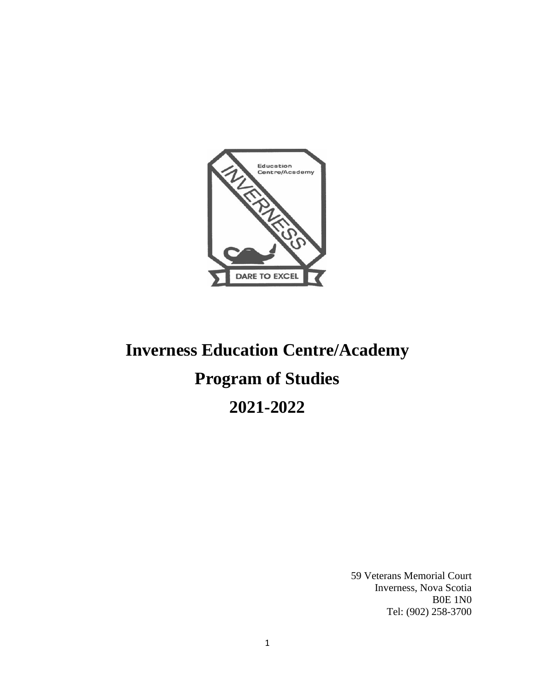

# **Inverness Education Centre/Academy Program of Studies 2021-2022**

59 Veterans Memorial Court Inverness, Nova Scotia B0E 1N0 Tel: (902) 258-3700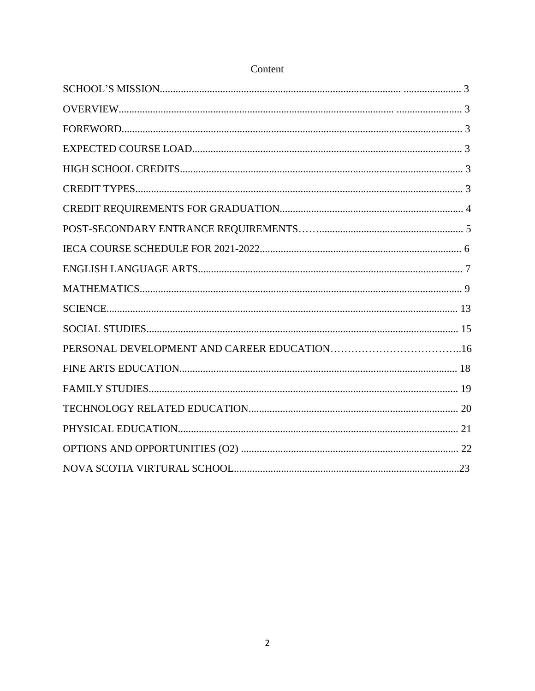# Content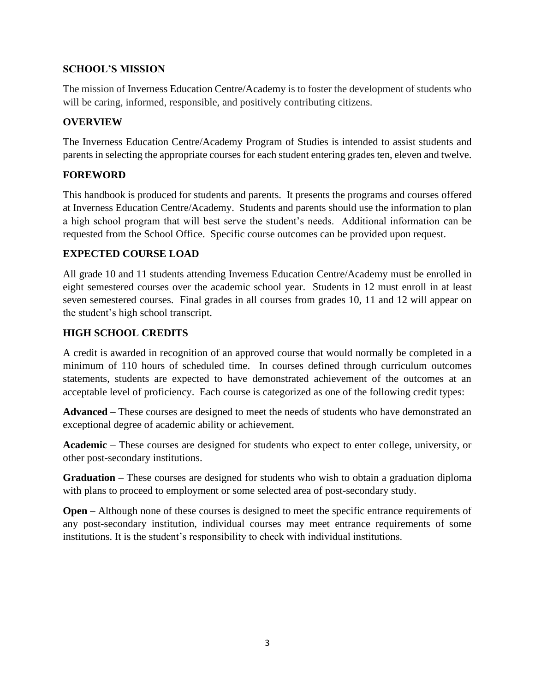# **SCHOOL'S MISSION**

The mission of Inverness Education Centre/Academy is to foster the development of students who will be caring, informed, responsible, and positively contributing citizens.

# **OVERVIEW**

The Inverness Education Centre/Academy Program of Studies is intended to assist students and parents in selecting the appropriate courses for each student entering grades ten, eleven and twelve.

# **FOREWORD**

This handbook is produced for students and parents. It presents the programs and courses offered at Inverness Education Centre/Academy. Students and parents should use the information to plan a high school program that will best serve the student's needs. Additional information can be requested from the School Office. Specific course outcomes can be provided upon request.

# **EXPECTED COURSE LOAD**

All grade 10 and 11 students attending Inverness Education Centre/Academy must be enrolled in eight semestered courses over the academic school year. Students in 12 must enroll in at least seven semestered courses. Final grades in all courses from grades 10, 11 and 12 will appear on the student's high school transcript.

# **HIGH SCHOOL CREDITS**

A credit is awarded in recognition of an approved course that would normally be completed in a minimum of 110 hours of scheduled time. In courses defined through curriculum outcomes statements, students are expected to have demonstrated achievement of the outcomes at an acceptable level of proficiency. Each course is categorized as one of the following credit types:

**Advanced** – These courses are designed to meet the needs of students who have demonstrated an exceptional degree of academic ability or achievement.

**Academic** – These courses are designed for students who expect to enter college, university, or other post-secondary institutions.

**Graduation** – These courses are designed for students who wish to obtain a graduation diploma with plans to proceed to employment or some selected area of post-secondary study.

**Open** – Although none of these courses is designed to meet the specific entrance requirements of any post-secondary institution, individual courses may meet entrance requirements of some institutions. It is the student's responsibility to check with individual institutions.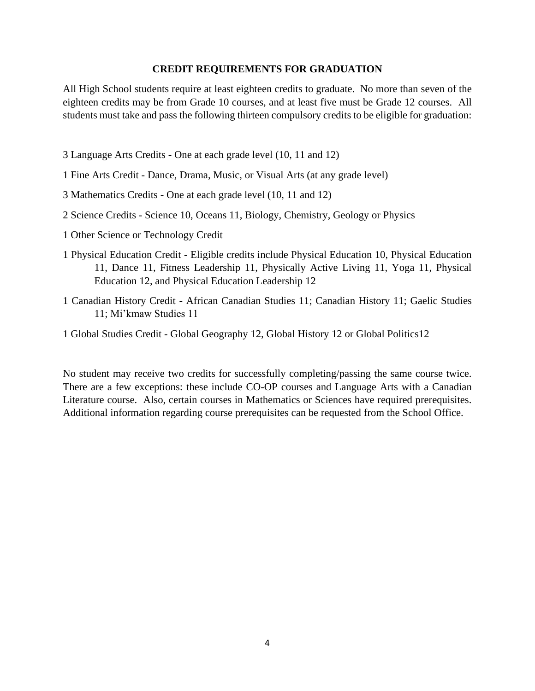#### **CREDIT REQUIREMENTS FOR GRADUATION**

All High School students require at least eighteen credits to graduate. No more than seven of the eighteen credits may be from Grade 10 courses, and at least five must be Grade 12 courses. All students must take and pass the following thirteen compulsory credits to be eligible for graduation:

- 3 Language Arts Credits One at each grade level (10, 11 and 12)
- 1 Fine Arts Credit Dance, Drama, Music, or Visual Arts (at any grade level)
- 3 Mathematics Credits One at each grade level (10, 11 and 12)
- 2 Science Credits Science 10, Oceans 11, Biology, Chemistry, Geology or Physics
- 1 Other Science or Technology Credit
- 1 Physical Education Credit Eligible credits include Physical Education 10, Physical Education 11, Dance 11, Fitness Leadership 11, Physically Active Living 11, Yoga 11, Physical Education 12, and Physical Education Leadership 12
- 1 Canadian History Credit African Canadian Studies 11; Canadian History 11; Gaelic Studies 11; Mi'kmaw Studies 11
- 1 Global Studies Credit Global Geography 12, Global History 12 or Global Politics12

No student may receive two credits for successfully completing/passing the same course twice. There are a few exceptions: these include CO-OP courses and Language Arts with a Canadian Literature course. Also, certain courses in Mathematics or Sciences have required prerequisites. Additional information regarding course prerequisites can be requested from the School Office.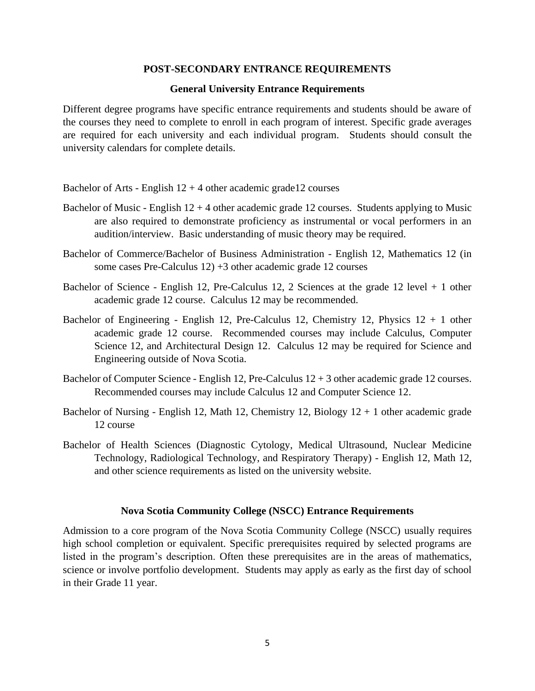#### **POST-SECONDARY ENTRANCE REQUIREMENTS**

#### **General University Entrance Requirements**

Different degree programs have specific entrance requirements and students should be aware of the courses they need to complete to enroll in each program of interest. Specific grade averages are required for each university and each individual program. Students should consult the university calendars for complete details.

Bachelor of Arts - English  $12 + 4$  other academic grade12 courses

- Bachelor of Music English  $12 + 4$  other academic grade 12 courses. Students applying to Music are also required to demonstrate proficiency as instrumental or vocal performers in an audition/interview. Basic understanding of music theory may be required.
- Bachelor of Commerce/Bachelor of Business Administration English 12, Mathematics 12 (in some cases Pre-Calculus 12) +3 other academic grade 12 courses
- Bachelor of Science English 12, Pre-Calculus 12, 2 Sciences at the grade 12 level + 1 other academic grade 12 course. Calculus 12 may be recommended.
- Bachelor of Engineering English 12, Pre-Calculus 12, Chemistry 12, Physics  $12 + 1$  other academic grade 12 course. Recommended courses may include Calculus, Computer Science 12, and Architectural Design 12. Calculus 12 may be required for Science and Engineering outside of Nova Scotia.
- Bachelor of Computer Science English 12, Pre-Calculus 12 + 3 other academic grade 12 courses. Recommended courses may include Calculus 12 and Computer Science 12.
- Bachelor of Nursing English 12, Math 12, Chemistry 12, Biology  $12 + 1$  other academic grade 12 course
- Bachelor of Health Sciences (Diagnostic Cytology, Medical Ultrasound, Nuclear Medicine Technology, Radiological Technology, and Respiratory Therapy) - English 12, Math 12, and other science requirements as listed on the university website.

#### **Nova Scotia Community College (NSCC) Entrance Requirements**

Admission to a core program of the Nova Scotia Community College (NSCC) usually requires high school completion or equivalent. Specific prerequisites required by selected programs are listed in the program's description. Often these prerequisites are in the areas of mathematics, science or involve portfolio development. Students may apply as early as the first day of school in their Grade 11 year.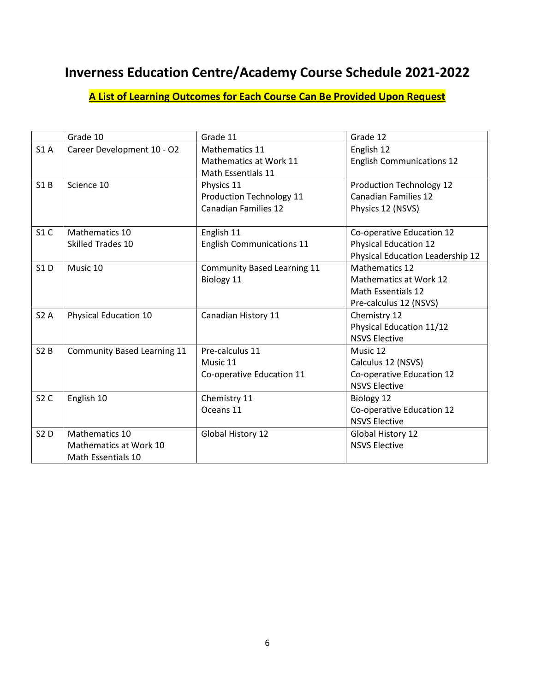# **Inverness Education Centre/Academy Course Schedule 2021-2022**

# **A List of Learning Outcomes for Each Course Can Be Provided Upon Request**

|            | Grade 10                           | Grade 11                         | Grade 12                                |
|------------|------------------------------------|----------------------------------|-----------------------------------------|
| S1A        | Career Development 10 - O2         | <b>Mathematics 11</b>            | English 12                              |
|            |                                    | Mathematics at Work 11           | <b>English Communications 12</b>        |
|            |                                    | Math Essentials 11               |                                         |
| S1B        | Science 10                         | Physics 11                       | Production Technology 12                |
|            |                                    | Production Technology 11         | <b>Canadian Families 12</b>             |
|            |                                    | <b>Canadian Families 12</b>      | Physics 12 (NSVS)                       |
|            |                                    |                                  |                                         |
| S1C        | Mathematics 10                     | English 11                       | Co-operative Education 12               |
|            | Skilled Trades 10                  | <b>English Communications 11</b> | <b>Physical Education 12</b>            |
|            |                                    |                                  | <b>Physical Education Leadership 12</b> |
| <b>S1D</b> | Music 10                           | Community Based Learning 11      | <b>Mathematics 12</b>                   |
|            |                                    | Biology 11                       | <b>Mathematics at Work 12</b>           |
|            |                                    |                                  | <b>Math Essentials 12</b>               |
|            |                                    |                                  | Pre-calculus 12 (NSVS)                  |
| S2A        | Physical Education 10              | Canadian History 11              | Chemistry 12                            |
|            |                                    |                                  | Physical Education 11/12                |
|            |                                    |                                  | <b>NSVS Elective</b>                    |
| S2B        | <b>Community Based Learning 11</b> | Pre-calculus 11                  | Music 12                                |
|            |                                    | Music 11                         | Calculus 12 (NSVS)                      |
|            |                                    | Co-operative Education 11        | Co-operative Education 12               |
|            |                                    |                                  | <b>NSVS Elective</b>                    |
| S2C        | English 10                         | Chemistry 11                     | Biology 12                              |
|            |                                    | Oceans 11                        | Co-operative Education 12               |
|            |                                    |                                  | <b>NSVS Elective</b>                    |
| <b>S2D</b> | Mathematics 10                     | Global History 12                | Global History 12                       |
|            | Mathematics at Work 10             |                                  | <b>NSVS Elective</b>                    |
|            | <b>Math Essentials 10</b>          |                                  |                                         |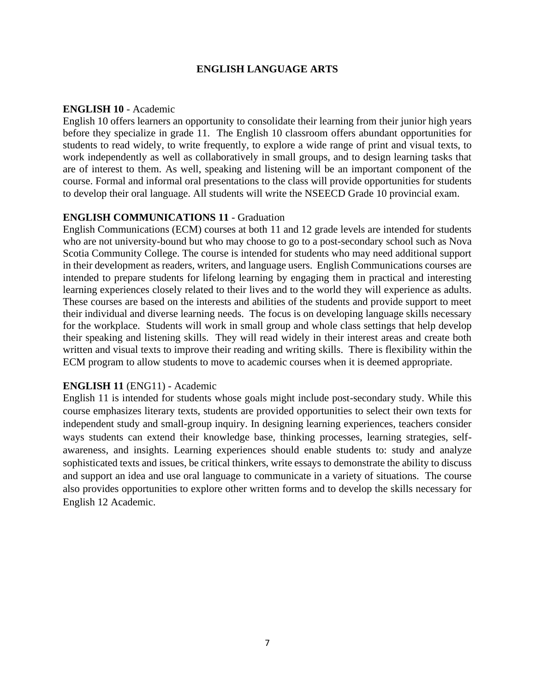#### **ENGLISH LANGUAGE ARTS**

#### **ENGLISH 10** - Academic

English 10 offers learners an opportunity to consolidate their learning from their junior high years before they specialize in grade 11. The English 10 classroom offers abundant opportunities for students to read widely, to write frequently, to explore a wide range of print and visual texts, to work independently as well as collaboratively in small groups, and to design learning tasks that are of interest to them. As well, speaking and listening will be an important component of the course. Formal and informal oral presentations to the class will provide opportunities for students to develop their oral language. All students will write the NSEECD Grade 10 provincial exam.

#### **ENGLISH COMMUNICATIONS 11** - Graduation

English Communications (ECM) courses at both 11 and 12 grade levels are intended for students who are not university-bound but who may choose to go to a post-secondary school such as Nova Scotia Community College. The course is intended for students who may need additional support in their development as readers, writers, and language users. English Communications courses are intended to prepare students for lifelong learning by engaging them in practical and interesting learning experiences closely related to their lives and to the world they will experience as adults. These courses are based on the interests and abilities of the students and provide support to meet their individual and diverse learning needs. The focus is on developing language skills necessary for the workplace. Students will work in small group and whole class settings that help develop their speaking and listening skills. They will read widely in their interest areas and create both written and visual texts to improve their reading and writing skills. There is flexibility within the ECM program to allow students to move to academic courses when it is deemed appropriate.

#### **ENGLISH 11** (ENG11) - Academic

English 11 is intended for students whose goals might include post-secondary study. While this course emphasizes literary texts, students are provided opportunities to select their own texts for independent study and small-group inquiry. In designing learning experiences, teachers consider ways students can extend their knowledge base, thinking processes, learning strategies, selfawareness, and insights. Learning experiences should enable students to: study and analyze sophisticated texts and issues, be critical thinkers, write essays to demonstrate the ability to discuss and support an idea and use oral language to communicate in a variety of situations. The course also provides opportunities to explore other written forms and to develop the skills necessary for English 12 Academic.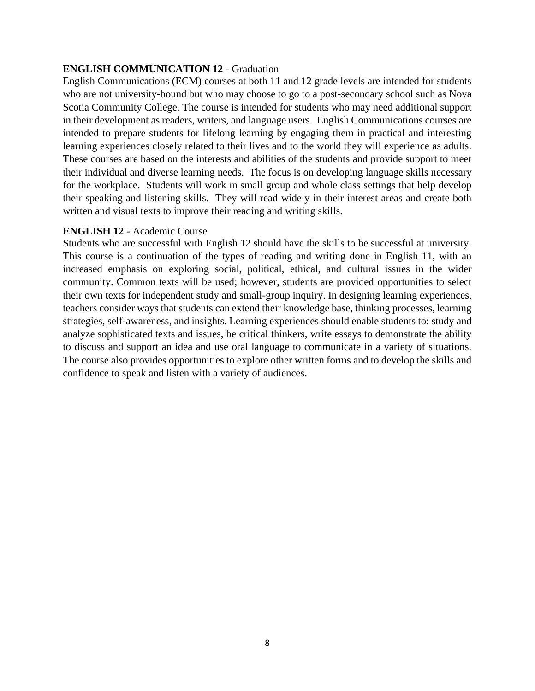# **ENGLISH COMMUNICATION 12** - Graduation

English Communications (ECM) courses at both 11 and 12 grade levels are intended for students who are not university-bound but who may choose to go to a post-secondary school such as Nova Scotia Community College. The course is intended for students who may need additional support in their development as readers, writers, and language users. English Communications courses are intended to prepare students for lifelong learning by engaging them in practical and interesting learning experiences closely related to their lives and to the world they will experience as adults. These courses are based on the interests and abilities of the students and provide support to meet their individual and diverse learning needs. The focus is on developing language skills necessary for the workplace. Students will work in small group and whole class settings that help develop their speaking and listening skills. They will read widely in their interest areas and create both written and visual texts to improve their reading and writing skills.

## **ENGLISH 12** - Academic Course

Students who are successful with English 12 should have the skills to be successful at university. This course is a continuation of the types of reading and writing done in English 11, with an increased emphasis on exploring social, political, ethical, and cultural issues in the wider community. Common texts will be used; however, students are provided opportunities to select their own texts for independent study and small-group inquiry. In designing learning experiences, teachers consider ways that students can extend their knowledge base, thinking processes, learning strategies, self-awareness, and insights. Learning experiences should enable students to: study and analyze sophisticated texts and issues, be critical thinkers, write essays to demonstrate the ability to discuss and support an idea and use oral language to communicate in a variety of situations. The course also provides opportunities to explore other written forms and to develop the skills and confidence to speak and listen with a variety of audiences.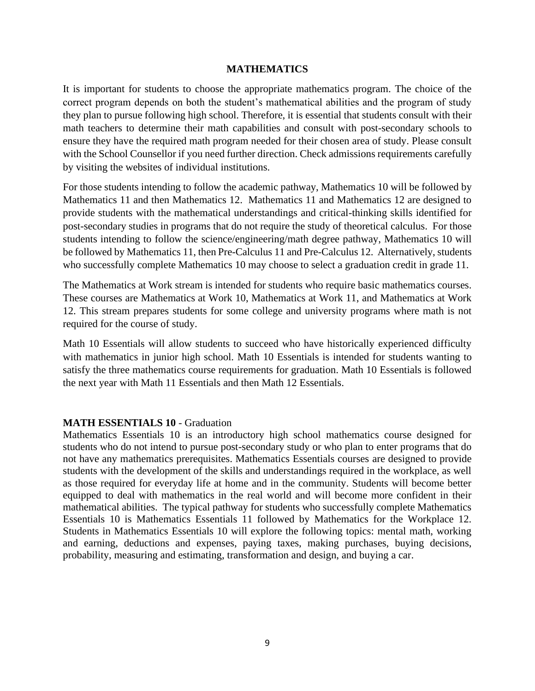#### **MATHEMATICS**

It is important for students to choose the appropriate mathematics program. The choice of the correct program depends on both the student's mathematical abilities and the program of study they plan to pursue following high school. Therefore, it is essential that students consult with their math teachers to determine their math capabilities and consult with post-secondary schools to ensure they have the required math program needed for their chosen area of study. Please consult with the School Counsellor if you need further direction. Check admissions requirements carefully by visiting the websites of individual institutions.

For those students intending to follow the academic pathway, Mathematics 10 will be followed by Mathematics 11 and then Mathematics 12. Mathematics 11 and Mathematics 12 are designed to provide students with the mathematical understandings and critical-thinking skills identified for post-secondary studies in programs that do not require the study of theoretical calculus. For those students intending to follow the science/engineering/math degree pathway, Mathematics 10 will be followed by Mathematics 11, then Pre-Calculus 11 and Pre-Calculus 12. Alternatively, students who successfully complete Mathematics 10 may choose to select a graduation credit in grade 11.

The Mathematics at Work stream is intended for students who require basic mathematics courses. These courses are Mathematics at Work 10, Mathematics at Work 11, and Mathematics at Work 12. This stream prepares students for some college and university programs where math is not required for the course of study.

Math 10 Essentials will allow students to succeed who have historically experienced difficulty with mathematics in junior high school. Math 10 Essentials is intended for students wanting to satisfy the three mathematics course requirements for graduation. Math 10 Essentials is followed the next year with Math 11 Essentials and then Math 12 Essentials.

#### **MATH ESSENTIALS 10** - Graduation

Mathematics Essentials 10 is an introductory high school mathematics course designed for students who do not intend to pursue post-secondary study or who plan to enter programs that do not have any mathematics prerequisites. Mathematics Essentials courses are designed to provide students with the development of the skills and understandings required in the workplace, as well as those required for everyday life at home and in the community. Students will become better equipped to deal with mathematics in the real world and will become more confident in their mathematical abilities. The typical pathway for students who successfully complete Mathematics Essentials 10 is Mathematics Essentials 11 followed by Mathematics for the Workplace 12. Students in Mathematics Essentials 10 will explore the following topics: mental math, working and earning, deductions and expenses, paying taxes, making purchases, buying decisions, probability, measuring and estimating, transformation and design, and buying a car.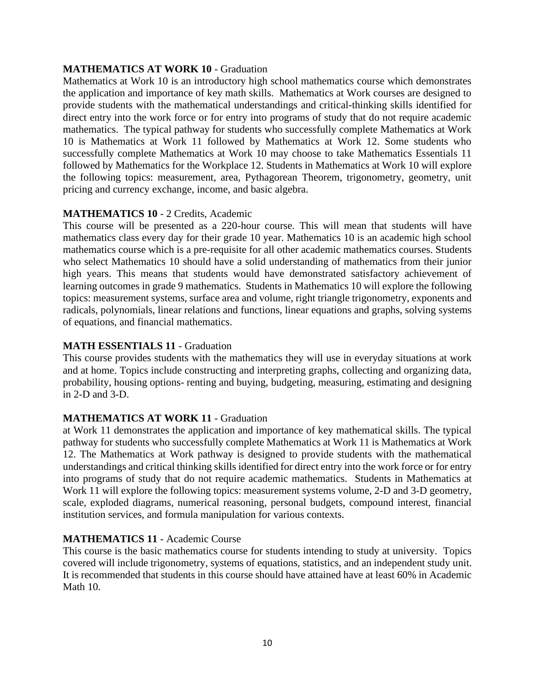# **MATHEMATICS AT WORK 10** - Graduation

Mathematics at Work 10 is an introductory high school mathematics course which demonstrates the application and importance of key math skills. Mathematics at Work courses are designed to provide students with the mathematical understandings and critical-thinking skills identified for direct entry into the work force or for entry into programs of study that do not require academic mathematics. The typical pathway for students who successfully complete Mathematics at Work 10 is Mathematics at Work 11 followed by Mathematics at Work 12. Some students who successfully complete Mathematics at Work 10 may choose to take Mathematics Essentials 11 followed by Mathematics for the Workplace 12. Students in Mathematics at Work 10 will explore the following topics: measurement, area, Pythagorean Theorem, trigonometry, geometry, unit pricing and currency exchange, income, and basic algebra.

## **MATHEMATICS 10** - 2 Credits, Academic

This course will be presented as a 220-hour course. This will mean that students will have mathematics class every day for their grade 10 year. Mathematics 10 is an academic high school mathematics course which is a pre-requisite for all other academic mathematics courses. Students who select Mathematics 10 should have a solid understanding of mathematics from their junior high years. This means that students would have demonstrated satisfactory achievement of learning outcomes in grade 9 mathematics. Students in Mathematics 10 will explore the following topics: measurement systems, surface area and volume, right triangle trigonometry, exponents and radicals, polynomials, linear relations and functions, linear equations and graphs, solving systems of equations, and financial mathematics.

#### **MATH ESSENTIALS 11** - Graduation

This course provides students with the mathematics they will use in everyday situations at work and at home. Topics include constructing and interpreting graphs, collecting and organizing data, probability, housing options- renting and buying, budgeting, measuring, estimating and designing in 2-D and 3-D.

#### **MATHEMATICS AT WORK 11** - Graduation

at Work 11 demonstrates the application and importance of key mathematical skills. The typical pathway for students who successfully complete Mathematics at Work 11 is Mathematics at Work 12. The Mathematics at Work pathway is designed to provide students with the mathematical understandings and critical thinking skills identified for direct entry into the work force or for entry into programs of study that do not require academic mathematics. Students in Mathematics at Work 11 will explore the following topics: measurement systems volume, 2-D and 3-D geometry, scale, exploded diagrams, numerical reasoning, personal budgets, compound interest, financial institution services, and formula manipulation for various contexts.

#### **MATHEMATICS 11** - Academic Course

This course is the basic mathematics course for students intending to study at university. Topics covered will include trigonometry, systems of equations, statistics, and an independent study unit. It is recommended that students in this course should have attained have at least 60% in Academic Math 10.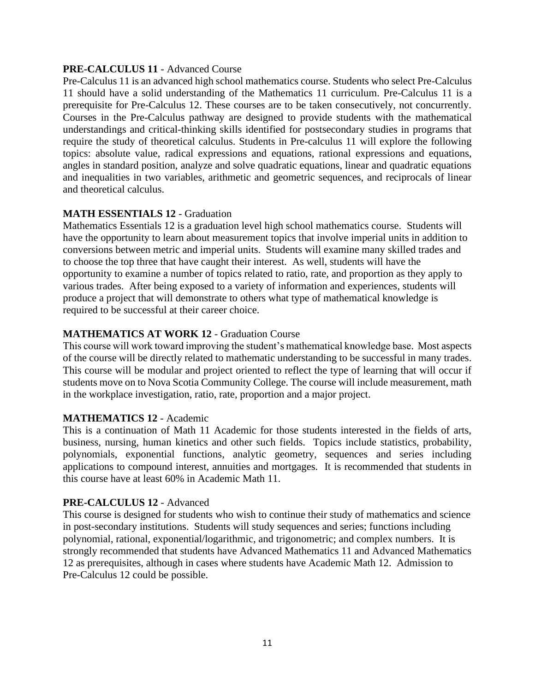### **PRE-CALCULUS 11** - Advanced Course

Pre-Calculus 11 is an advanced high school mathematics course. Students who select Pre-Calculus 11 should have a solid understanding of the Mathematics 11 curriculum. Pre-Calculus 11 is a prerequisite for Pre-Calculus 12. These courses are to be taken consecutively, not concurrently. Courses in the Pre-Calculus pathway are designed to provide students with the mathematical understandings and critical-thinking skills identified for postsecondary studies in programs that require the study of theoretical calculus. Students in Pre-calculus 11 will explore the following topics: absolute value, radical expressions and equations, rational expressions and equations, angles in standard position, analyze and solve quadratic equations, linear and quadratic equations and inequalities in two variables, arithmetic and geometric sequences, and reciprocals of linear and theoretical calculus.

# **MATH ESSENTIALS 12** - Graduation

Mathematics Essentials 12 is a graduation level high school mathematics course. Students will have the opportunity to learn about measurement topics that involve imperial units in addition to conversions between metric and imperial units. Students will examine many skilled trades and to choose the top three that have caught their interest. As well, students will have the opportunity to examine a number of topics related to ratio, rate, and proportion as they apply to various trades. After being exposed to a variety of information and experiences, students will produce a project that will demonstrate to others what type of mathematical knowledge is required to be successful at their career choice.

# **MATHEMATICS AT WORK 12** - Graduation Course

This course will work toward improving the student's mathematical knowledge base. Most aspects of the course will be directly related to mathematic understanding to be successful in many trades. This course will be modular and project oriented to reflect the type of learning that will occur if students move on to Nova Scotia Community College. The course will include measurement, math in the workplace investigation, ratio, rate, proportion and a major project.

#### **MATHEMATICS 12** - Academic

This is a continuation of Math 11 Academic for those students interested in the fields of arts, business, nursing, human kinetics and other such fields. Topics include statistics, probability, polynomials, exponential functions, analytic geometry, sequences and series including applications to compound interest, annuities and mortgages. It is recommended that students in this course have at least 60% in Academic Math 11.

#### **PRE-CALCULUS 12** - Advanced

This course is designed for students who wish to continue their study of mathematics and science in post-secondary institutions. Students will study sequences and series; functions including polynomial, rational, exponential/logarithmic, and trigonometric; and complex numbers. It is strongly recommended that students have Advanced Mathematics 11 and Advanced Mathematics 12 as prerequisites, although in cases where students have Academic Math 12. Admission to Pre-Calculus 12 could be possible.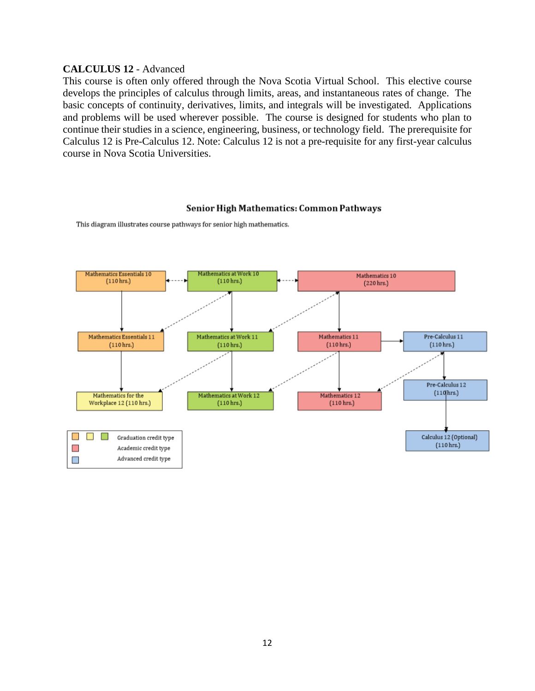### **CALCULUS 12** - Advanced

This course is often only offered through the Nova Scotia Virtual School. This elective course develops the principles of calculus through limits, areas, and instantaneous rates of change. The basic concepts of continuity, derivatives, limits, and integrals will be investigated. Applications and problems will be used wherever possible. The course is designed for students who plan to continue their studies in a science, engineering, business, or technology field. The prerequisite for Calculus 12 is Pre-Calculus 12. Note: Calculus 12 is not a pre-requisite for any first-year calculus course in Nova Scotia Universities.

#### Senior High Mathematics: Common Pathways

Mathematics Essentials 10 natics at Work 10 Mathematics 10  $(110$  hrs.)  $(110$  hrs.) (220 hrs.) Mathematics Essentials 11 Mathematics at Work 11 Mathematics 11 Pre-Calculus 11  $(110 hrs.)$  $(110 hrs.)$  $(110 hrs.)$  $(110 \text{ hrs.})$ Pre-Calculus 12  $(110$ hrs.) Mathematics for the Mathematics at Work 12 Mathematics 12 Workplace 12 (110 hrs.)  $(110$  hrs.)  $(110$  hrs.)  $\mathbb{R}^n$  $\Box$ Calculus 12 (Optional) Graduation credit type  $(110 \text{ hrs.})$  $\mathbb{R}^n$ Academic credit type Advanced credit type  $\blacksquare$ 

This diagram illustrates course pathways for senior high mathematics.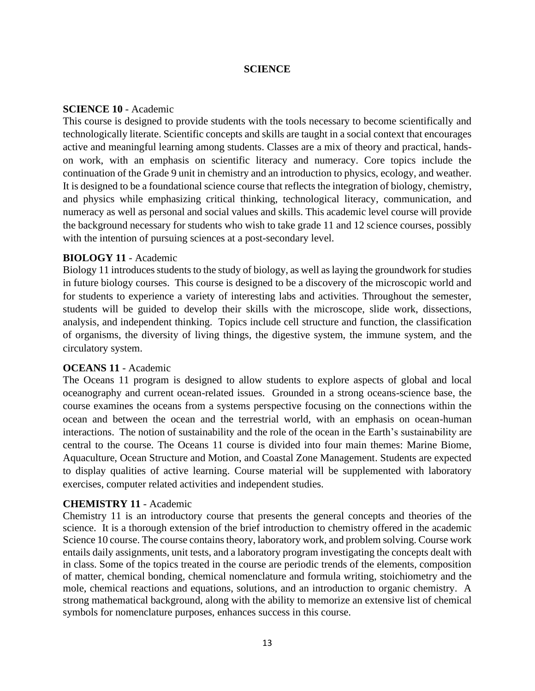#### **SCIENCE**

#### **SCIENCE 10** - Academic

This course is designed to provide students with the tools necessary to become scientifically and technologically literate. Scientific concepts and skills are taught in a social context that encourages active and meaningful learning among students. Classes are a mix of theory and practical, handson work, with an emphasis on scientific literacy and numeracy. Core topics include the continuation of the Grade 9 unit in chemistry and an introduction to physics, ecology, and weather. It is designed to be a foundational science course that reflects the integration of biology, chemistry, and physics while emphasizing critical thinking, technological literacy, communication, and numeracy as well as personal and social values and skills. This academic level course will provide the background necessary for students who wish to take grade 11 and 12 science courses, possibly with the intention of pursuing sciences at a post-secondary level.

#### **BIOLOGY 11** - Academic

Biology 11 introduces students to the study of biology, as well as laying the groundwork for studies in future biology courses. This course is designed to be a discovery of the microscopic world and for students to experience a variety of interesting labs and activities. Throughout the semester, students will be guided to develop their skills with the microscope, slide work, dissections, analysis, and independent thinking. Topics include cell structure and function, the classification of organisms, the diversity of living things, the digestive system, the immune system, and the circulatory system.

#### **OCEANS 11** - Academic

The Oceans 11 program is designed to allow students to explore aspects of global and local oceanography and current ocean-related issues. Grounded in a strong oceans-science base, the course examines the oceans from a systems perspective focusing on the connections within the ocean and between the ocean and the terrestrial world, with an emphasis on ocean-human interactions. The notion of sustainability and the role of the ocean in the Earth's sustainability are central to the course. The Oceans 11 course is divided into four main themes: Marine Biome, Aquaculture, Ocean Structure and Motion, and Coastal Zone Management. Students are expected to display qualities of active learning. Course material will be supplemented with laboratory exercises, computer related activities and independent studies.

#### **CHEMISTRY 11** - Academic

Chemistry 11 is an introductory course that presents the general concepts and theories of the science. It is a thorough extension of the brief introduction to chemistry offered in the academic Science 10 course. The course contains theory, laboratory work, and problem solving. Course work entails daily assignments, unit tests, and a laboratory program investigating the concepts dealt with in class. Some of the topics treated in the course are periodic trends of the elements, composition of matter, chemical bonding, chemical nomenclature and formula writing, stoichiometry and the mole, chemical reactions and equations, solutions, and an introduction to organic chemistry. A strong mathematical background, along with the ability to memorize an extensive list of chemical symbols for nomenclature purposes, enhances success in this course.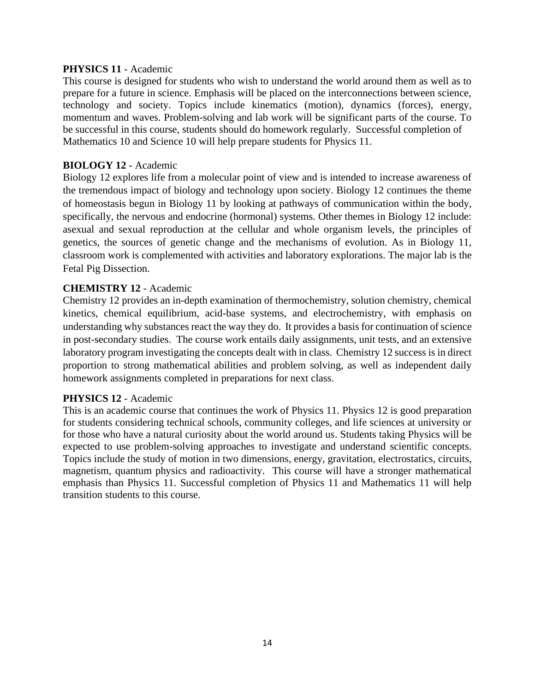#### **PHYSICS 11** - Academic

This course is designed for students who wish to understand the world around them as well as to prepare for a future in science. Emphasis will be placed on the interconnections between science, technology and society. Topics include kinematics (motion), dynamics (forces), energy, momentum and waves. Problem-solving and lab work will be significant parts of the course. To be successful in this course, students should do homework regularly. Successful completion of Mathematics 10 and Science 10 will help prepare students for Physics 11.

## **BIOLOGY 12** - Academic

Biology 12 explores life from a molecular point of view and is intended to increase awareness of the tremendous impact of biology and technology upon society. Biology 12 continues the theme of homeostasis begun in Biology 11 by looking at pathways of communication within the body, specifically, the nervous and endocrine (hormonal) systems. Other themes in Biology 12 include: asexual and sexual reproduction at the cellular and whole organism levels, the principles of genetics, the sources of genetic change and the mechanisms of evolution. As in Biology 11, classroom work is complemented with activities and laboratory explorations. The major lab is the Fetal Pig Dissection.

## **CHEMISTRY 12** - Academic

Chemistry 12 provides an in-depth examination of thermochemistry, solution chemistry, chemical kinetics, chemical equilibrium, acid-base systems, and electrochemistry, with emphasis on understanding why substances react the way they do. It provides a basis for continuation of science in post-secondary studies. The course work entails daily assignments, unit tests, and an extensive laboratory program investigating the concepts dealt with in class. Chemistry 12 success is in direct proportion to strong mathematical abilities and problem solving, as well as independent daily homework assignments completed in preparations for next class.

# **PHYSICS 12** - Academic

This is an academic course that continues the work of Physics 11. Physics 12 is good preparation for students considering technical schools, community colleges, and life sciences at university or for those who have a natural curiosity about the world around us. Students taking Physics will be expected to use problem-solving approaches to investigate and understand scientific concepts. Topics include the study of motion in two dimensions, energy, gravitation, electrostatics, circuits, magnetism, quantum physics and radioactivity. This course will have a stronger mathematical emphasis than Physics 11. Successful completion of Physics 11 and Mathematics 11 will help transition students to this course.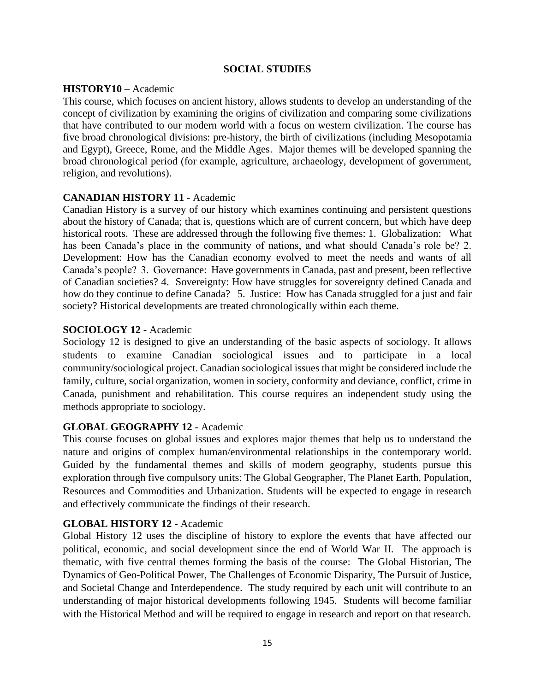### **SOCIAL STUDIES**

#### **HISTORY10** – Academic

This course, which focuses on ancient history, allows students to develop an understanding of the concept of civilization by examining the origins of civilization and comparing some civilizations that have contributed to our modern world with a focus on western civilization. The course has five broad chronological divisions: pre-history, the birth of civilizations (including Mesopotamia and Egypt), Greece, Rome, and the Middle Ages. Major themes will be developed spanning the broad chronological period (for example, agriculture, archaeology, development of government, religion, and revolutions).

#### **CANADIAN HISTORY 11** - Academic

Canadian History is a survey of our history which examines continuing and persistent questions about the history of Canada; that is, questions which are of current concern, but which have deep historical roots. These are addressed through the following five themes: 1. Globalization: What has been Canada's place in the community of nations, and what should Canada's role be? 2. Development: How has the Canadian economy evolved to meet the needs and wants of all Canada's people? 3. Governance: Have governments in Canada, past and present, been reflective of Canadian societies? 4. Sovereignty: How have struggles for sovereignty defined Canada and how do they continue to define Canada? 5. Justice: How has Canada struggled for a just and fair society? Historical developments are treated chronologically within each theme.

## **SOCIOLOGY 12** - Academic

Sociology 12 is designed to give an understanding of the basic aspects of sociology. It allows students to examine Canadian sociological issues and to participate in a local community/sociological project. Canadian sociological issues that might be considered include the family, culture, social organization, women in society, conformity and deviance, conflict, crime in Canada, punishment and rehabilitation. This course requires an independent study using the methods appropriate to sociology.

# **GLOBAL GEOGRAPHY 12** - Academic

This course focuses on global issues and explores major themes that help us to understand the nature and origins of complex human/environmental relationships in the contemporary world. Guided by the fundamental themes and skills of modern geography, students pursue this exploration through five compulsory units: The Global Geographer, The Planet Earth, Population, Resources and Commodities and Urbanization. Students will be expected to engage in research and effectively communicate the findings of their research.

#### **GLOBAL HISTORY 12** - Academic

Global History 12 uses the discipline of history to explore the events that have affected our political, economic, and social development since the end of World War II. The approach is thematic, with five central themes forming the basis of the course: The Global Historian, The Dynamics of Geo-Political Power, The Challenges of Economic Disparity, The Pursuit of Justice, and Societal Change and Interdependence. The study required by each unit will contribute to an understanding of major historical developments following 1945. Students will become familiar with the Historical Method and will be required to engage in research and report on that research.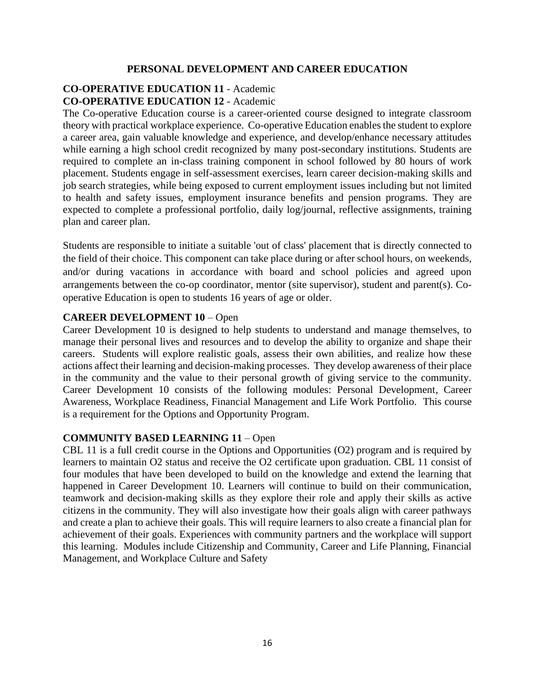#### **PERSONAL DEVELOPMENT AND CAREER EDUCATION**

# **CO-OPERATIVE EDUCATION 11** - Academic **CO-OPERATIVE EDUCATION 12** - Academic

The Co-operative Education course is a career-oriented course designed to integrate classroom theory with practical workplace experience. Co-operative Education enables the student to explore a career area, gain valuable knowledge and experience, and develop/enhance necessary attitudes while earning a high school credit recognized by many post-secondary institutions. Students are required to complete an in-class training component in school followed by 80 hours of work placement. Students engage in self-assessment exercises, learn career decision-making skills and job search strategies, while being exposed to current employment issues including but not limited to health and safety issues, employment insurance benefits and pension programs. They are expected to complete a professional portfolio, daily log/journal, reflective assignments, training plan and career plan.

Students are responsible to initiate a suitable 'out of class' placement that is directly connected to the field of their choice. This component can take place during or after school hours, on weekends, and/or during vacations in accordance with board and school policies and agreed upon arrangements between the co-op coordinator, mentor (site supervisor), student and parent(s). Cooperative Education is open to students 16 years of age or older.

#### **CAREER DEVELOPMENT 10** – Open

Career Development 10 is designed to help students to understand and manage themselves, to manage their personal lives and resources and to develop the ability to organize and shape their careers. Students will explore realistic goals, assess their own abilities, and realize how these actions affect their learning and decision-making processes. They develop awareness of their place in the community and the value to their personal growth of giving service to the community. Career Development 10 consists of the following modules: Personal Development, Career Awareness, Workplace Readiness, Financial Management and Life Work Portfolio. This course is a requirement for the Options and Opportunity Program.

#### **COMMUNITY BASED LEARNING 11** – Open

CBL 11 is a full credit course in the Options and Opportunities (O2) program and is required by learners to maintain O2 status and receive the O2 certificate upon graduation. CBL 11 consist of four modules that have been developed to build on the knowledge and extend the learning that happened in Career Development 10. Learners will continue to build on their communication, teamwork and decision-making skills as they explore their role and apply their skills as active citizens in the community. They will also investigate how their goals align with career pathways and create a plan to achieve their goals. This will require learners to also create a financial plan for achievement of their goals. Experiences with community partners and the workplace will support this learning. Modules include Citizenship and Community, Career and Life Planning, Financial Management, and Workplace Culture and Safety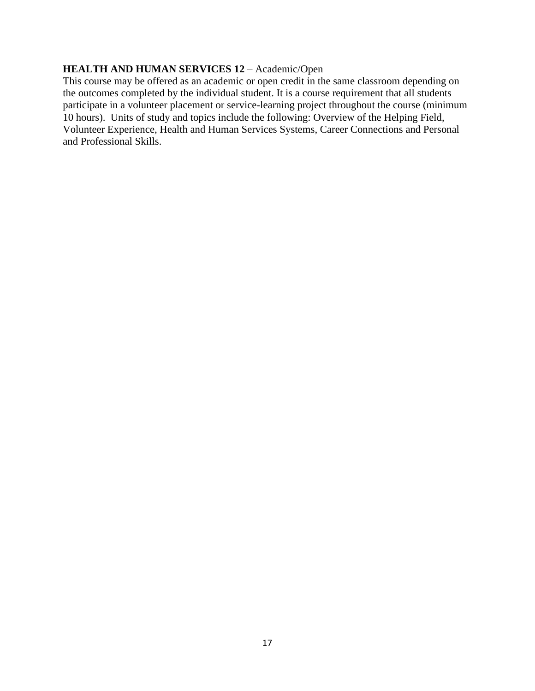### **HEALTH AND HUMAN SERVICES 12** – Academic/Open

This course may be offered as an academic or open credit in the same classroom depending on the outcomes completed by the individual student. It is a course requirement that all students participate in a volunteer placement or service-learning project throughout the course (minimum 10 hours). Units of study and topics include the following: Overview of the Helping Field, Volunteer Experience, Health and Human Services Systems, Career Connections and Personal and Professional Skills.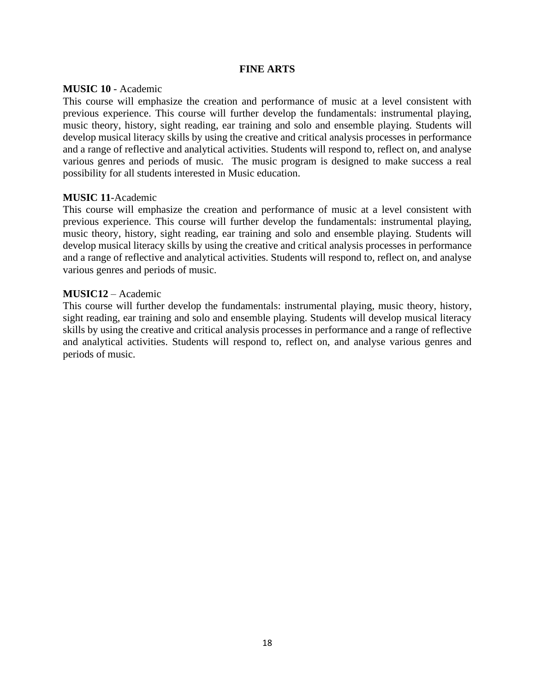#### **FINE ARTS**

#### **MUSIC 10** - Academic

This course will emphasize the creation and performance of music at a level consistent with previous experience. This course will further develop the fundamentals: instrumental playing, music theory, history, sight reading, ear training and solo and ensemble playing. Students will develop musical literacy skills by using the creative and critical analysis processes in performance and a range of reflective and analytical activities. Students will respond to, reflect on, and analyse various genres and periods of music. The music program is designed to make success a real possibility for all students interested in Music education.

#### **MUSIC 11**-Academic

This course will emphasize the creation and performance of music at a level consistent with previous experience. This course will further develop the fundamentals: instrumental playing, music theory, history, sight reading, ear training and solo and ensemble playing. Students will develop musical literacy skills by using the creative and critical analysis processes in performance and a range of reflective and analytical activities. Students will respond to, reflect on, and analyse various genres and periods of music.

#### **MUSIC12** – Academic

This course will further develop the fundamentals: instrumental playing, music theory, history, sight reading, ear training and solo and ensemble playing. Students will develop musical literacy skills by using the creative and critical analysis processes in performance and a range of reflective and analytical activities. Students will respond to, reflect on, and analyse various genres and periods of music.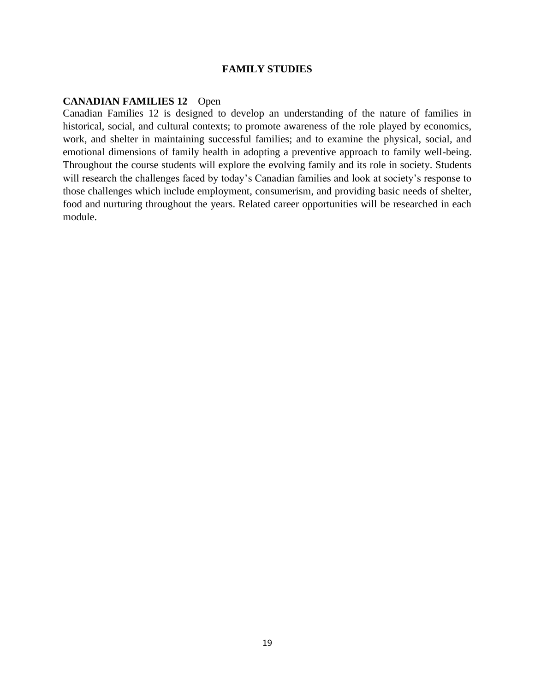#### **FAMILY STUDIES**

#### **CANADIAN FAMILIES 12** – Open

Canadian Families 12 is designed to develop an understanding of the nature of families in historical, social, and cultural contexts; to promote awareness of the role played by economics, work, and shelter in maintaining successful families; and to examine the physical, social, and emotional dimensions of family health in adopting a preventive approach to family well-being. Throughout the course students will explore the evolving family and its role in society. Students will research the challenges faced by today's Canadian families and look at society's response to those challenges which include employment, consumerism, and providing basic needs of shelter, food and nurturing throughout the years. Related career opportunities will be researched in each module.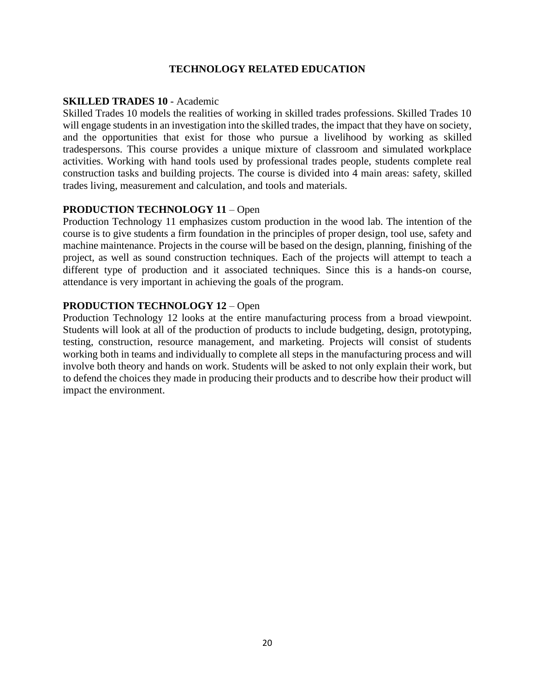# **TECHNOLOGY RELATED EDUCATION**

#### **SKILLED TRADES 10** - Academic

Skilled Trades 10 models the realities of working in skilled trades professions. Skilled Trades 10 will engage students in an investigation into the skilled trades, the impact that they have on society, and the opportunities that exist for those who pursue a livelihood by working as skilled tradespersons. This course provides a unique mixture of classroom and simulated workplace activities. Working with hand tools used by professional trades people, students complete real construction tasks and building projects. The course is divided into 4 main areas: safety, skilled trades living, measurement and calculation, and tools and materials.

#### **PRODUCTION TECHNOLOGY 11** – Open

Production Technology 11 emphasizes custom production in the wood lab. The intention of the course is to give students a firm foundation in the principles of proper design, tool use, safety and machine maintenance. Projects in the course will be based on the design, planning, finishing of the project, as well as sound construction techniques. Each of the projects will attempt to teach a different type of production and it associated techniques. Since this is a hands-on course, attendance is very important in achieving the goals of the program.

#### **PRODUCTION TECHNOLOGY 12** – Open

Production Technology 12 looks at the entire manufacturing process from a broad viewpoint. Students will look at all of the production of products to include budgeting, design, prototyping, testing, construction, resource management, and marketing. Projects will consist of students working both in teams and individually to complete all steps in the manufacturing process and will involve both theory and hands on work. Students will be asked to not only explain their work, but to defend the choices they made in producing their products and to describe how their product will impact the environment.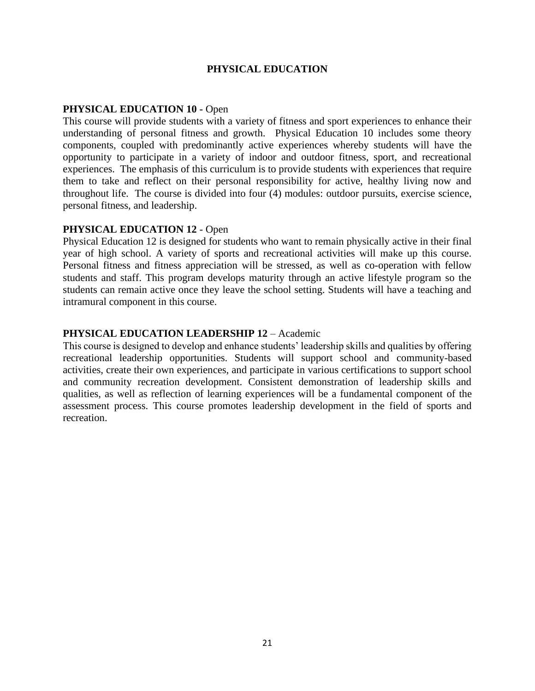#### **PHYSICAL EDUCATION**

## **PHYSICAL EDUCATION 10 -** Open

This course will provide students with a variety of fitness and sport experiences to enhance their understanding of personal fitness and growth. Physical Education 10 includes some theory components, coupled with predominantly active experiences whereby students will have the opportunity to participate in a variety of indoor and outdoor fitness, sport, and recreational experiences. The emphasis of this curriculum is to provide students with experiences that require them to take and reflect on their personal responsibility for active, healthy living now and throughout life. The course is divided into four (4) modules: outdoor pursuits, exercise science, personal fitness, and leadership.

#### **PHYSICAL EDUCATION 12** - Open

Physical Education 12 is designed for students who want to remain physically active in their final year of high school. A variety of sports and recreational activities will make up this course. Personal fitness and fitness appreciation will be stressed, as well as co-operation with fellow students and staff. This program develops maturity through an active lifestyle program so the students can remain active once they leave the school setting. Students will have a teaching and intramural component in this course.

#### **PHYSICAL EDUCATION LEADERSHIP 12** – Academic

This course is designed to develop and enhance students' leadership skills and qualities by offering recreational leadership opportunities. Students will support school and community-based activities, create their own experiences, and participate in various certifications to support school and community recreation development. Consistent demonstration of leadership skills and qualities, as well as reflection of learning experiences will be a fundamental component of the assessment process. This course promotes leadership development in the field of sports and recreation.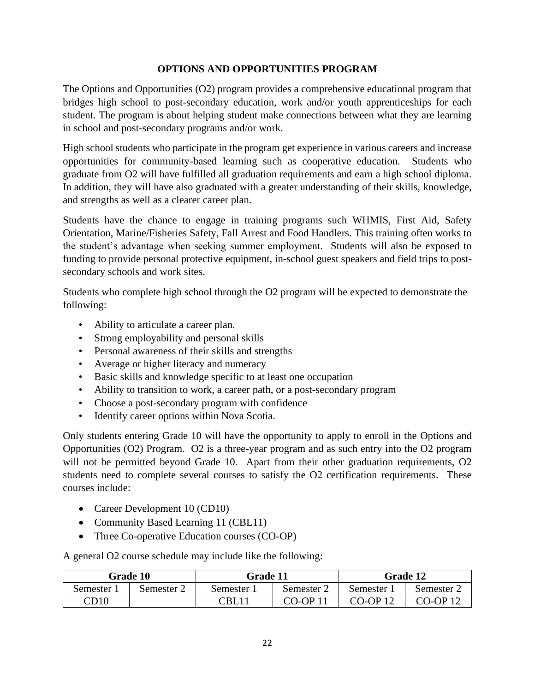# **OPTIONS AND OPPORTUNITIES PROGRAM**

The Options and Opportunities (O2) program provides a comprehensive educational program that bridges high school to post-secondary education, work and/or youth apprenticeships for each student. The program is about helping student make connections between what they are learning in school and post-secondary programs and/or work.

High school students who participate in the program get experience in various careers and increase opportunities for community-based learning such as cooperative education. Students who graduate from O2 will have fulfilled all graduation requirements and earn a high school diploma. In addition, they will have also graduated with a greater understanding of their skills, knowledge, and strengths as well as a clearer career plan.

Students have the chance to engage in training programs such WHMIS, First Aid, Safety Orientation, Marine/Fisheries Safety, Fall Arrest and Food Handlers. This training often works to the student's advantage when seeking summer employment. Students will also be exposed to funding to provide personal protective equipment, in-school guest speakers and field trips to postsecondary schools and work sites.

Students who complete high school through the O2 program will be expected to demonstrate the following:

- Ability to articulate a career plan.
- Strong employability and personal skills
- Personal awareness of their skills and strengths
- Average or higher literacy and numeracy
- Basic skills and knowledge specific to at least one occupation
- Ability to transition to work, a career path, or a post-secondary program
- Choose a post-secondary program with confidence
- Identify career options within Nova Scotia.

Only students entering Grade 10 will have the opportunity to apply to enroll in the Options and Opportunities (O2) Program. O2 is a three-year program and as such entry into the O2 program will not be permitted beyond Grade 10. Apart from their other graduation requirements, O2 students need to complete several courses to satisfy the O2 certification requirements. These courses include:

- Career Development 10 (CD10)
- Community Based Learning 11 (CBL11)
- Three Co-operative Education courses (CO-OP)

A general O2 course schedule may include like the following:

| <b>Grade 10</b>          |          | <b>Grade 11</b> |          | <b>Grade 12</b> |                  |
|--------------------------|----------|-----------------|----------|-----------------|------------------|
| Semester                 | Semester | Semester        | Semester | Semester        | Semester 2       |
| $\mathbb{C}\mathrm{D}10$ |          | CBL             | CO-OP    | CO-OP 12        | <u> CO-OP 12</u> |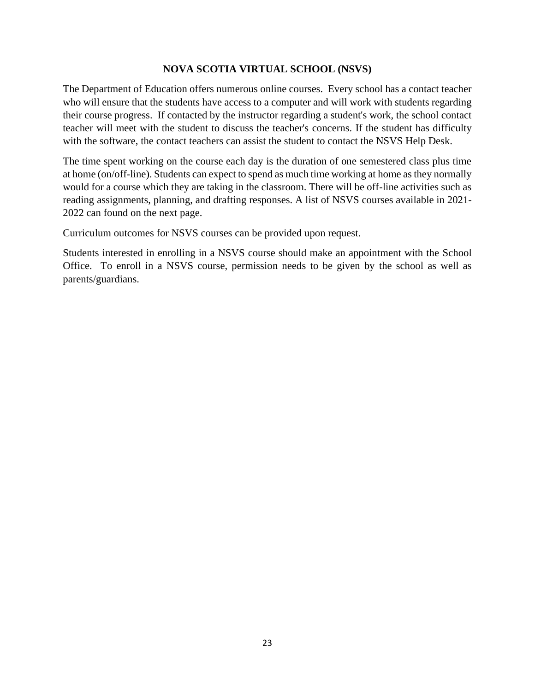## **NOVA SCOTIA VIRTUAL SCHOOL (NSVS)**

The Department of Education offers numerous online courses. Every school has a contact teacher who will ensure that the students have access to a computer and will work with students regarding their course progress. If contacted by the instructor regarding a student's work, the school contact teacher will meet with the student to discuss the teacher's concerns. If the student has difficulty with the software, the contact teachers can assist the student to contact the NSVS Help Desk.

The time spent working on the course each day is the duration of one semestered class plus time at home (on/off-line). Students can expect to spend as much time working at home as they normally would for a course which they are taking in the classroom. There will be off-line activities such as reading assignments, planning, and drafting responses. A list of NSVS courses available in 2021- 2022 can found on the next page.

Curriculum outcomes for NSVS courses can be provided upon request.

Students interested in enrolling in a NSVS course should make an appointment with the School Office. To enroll in a NSVS course, permission needs to be given by the school as well as parents/guardians.